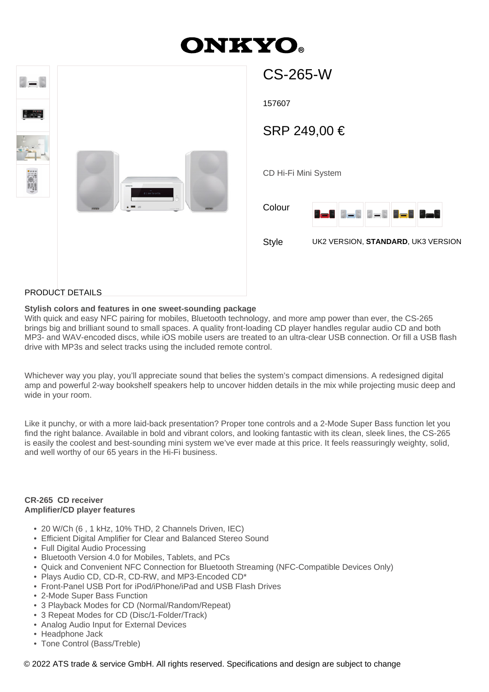# **ONKYO**

 $CC$  2 $CE$   $M$ 



| UU-ZUJ-VV            |                                    |                                  |    |  |
|----------------------|------------------------------------|----------------------------------|----|--|
| 157607               |                                    |                                  |    |  |
| SRP 249,00 €         |                                    |                                  |    |  |
|                      |                                    |                                  |    |  |
| CD Hi-Fi Mini System |                                    |                                  |    |  |
| Colour               | $J = 5$<br>ا ص                     | $\mathbb{S}=\mathbb{S}$<br>H – E | 13 |  |
| <b>Style</b>         | UK2 VERSION, STANDARD, UK3 VERSION |                                  |    |  |
|                      |                                    |                                  |    |  |

#### PRODUCT DETAILS

#### **Stylish colors and features in one sweet-sounding package**

With quick and easy NFC pairing for mobiles, Bluetooth technology, and more amp power than ever, the CS-265 brings big and brilliant sound to small spaces. A quality front-loading CD player handles regular audio CD and both MP3- and WAV-encoded discs, while iOS mobile users are treated to an ultra-clear USB connection. Or fill a USB flash drive with MP3s and select tracks using the included remote control.

Whichever way you play, you'll appreciate sound that belies the system's compact dimensions. A redesigned digital amp and powerful 2-way bookshelf speakers help to uncover hidden details in the mix while projecting music deep and wide in your room.

Like it punchy, or with a more laid-back presentation? Proper tone controls and a 2-Mode Super Bass function let you find the right balance. Available in bold and vibrant colors, and looking fantastic with its clean, sleek lines, the CS-265 is easily the coolest and best-sounding mini system we've ever made at this price. It feels reassuringly weighty, solid, and well worthy of our 65 years in the Hi-Fi business.

#### **CR-265 CD receiver Amplifier/CD player features**

- 20 W/Ch (6 , 1 kHz, 10% THD, 2 Channels Driven, IEC)
- Efficient Digital Amplifier for Clear and Balanced Stereo Sound
- Full Digital Audio Processing
- Bluetooth Version 4.0 for Mobiles, Tablets, and PCs
- Quick and Convenient NFC Connection for Bluetooth Streaming (NFC-Compatible Devices Only)
- Plays Audio CD, CD-R, CD-RW, and MP3-Encoded CD\*
- Front-Panel USB Port for iPod/iPhone/iPad and USB Flash Drives
- 2-Mode Super Bass Function
- 3 Playback Modes for CD (Normal/Random/Repeat)
- 3 Repeat Modes for CD (Disc/1-Folder/Track)
- Analog Audio Input for External Devices
- Headphone Jack
- Tone Control (Bass/Treble)

© 2022 ATS trade & service GmbH. All rights reserved. Specifications and design are subject to change